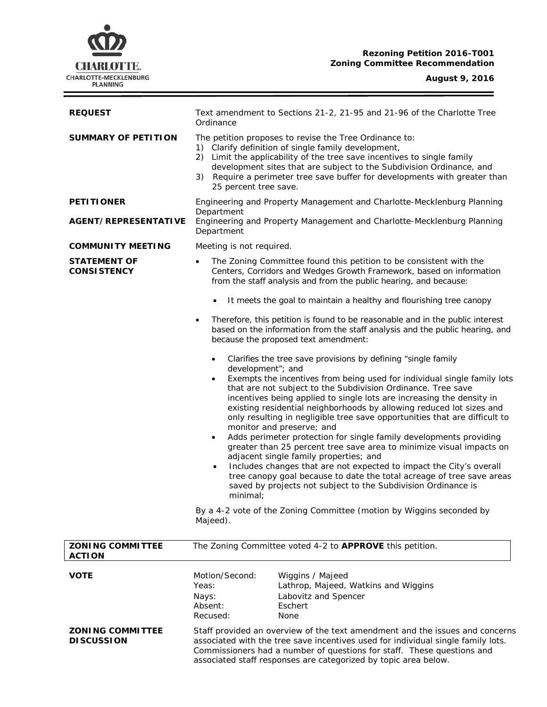

f

| <b>REQUEST</b>                               | Text amendment to Sections 21-2, 21-95 and 21-96 of the Charlotte Tree<br>Ordinance                                                                                                                                                                                                                                                                                                                                                                                                                                                                                                                                                                                                                                                                                                                                                                                                                                                                                 |
|----------------------------------------------|---------------------------------------------------------------------------------------------------------------------------------------------------------------------------------------------------------------------------------------------------------------------------------------------------------------------------------------------------------------------------------------------------------------------------------------------------------------------------------------------------------------------------------------------------------------------------------------------------------------------------------------------------------------------------------------------------------------------------------------------------------------------------------------------------------------------------------------------------------------------------------------------------------------------------------------------------------------------|
| <b>SUMMARY OF PETITION</b>                   | The petition proposes to revise the Tree Ordinance to:<br>Clarify definition of single family development,<br>1)<br>2) Limit the applicability of the tree save incentives to single family<br>development sites that are subject to the Subdivision Ordinance, and<br>Require a perimeter tree save buffer for developments with greater than<br>3)<br>25 percent tree save.                                                                                                                                                                                                                                                                                                                                                                                                                                                                                                                                                                                       |
| <b>PETITIONER</b>                            | Engineering and Property Management and Charlotte-Mecklenburg Planning<br>Department                                                                                                                                                                                                                                                                                                                                                                                                                                                                                                                                                                                                                                                                                                                                                                                                                                                                                |
| <b>AGENT/REPRESENTATIVE</b>                  | Engineering and Property Management and Charlotte-Mecklenburg Planning<br>Department                                                                                                                                                                                                                                                                                                                                                                                                                                                                                                                                                                                                                                                                                                                                                                                                                                                                                |
| <b>COMMUNITY MEETING</b>                     | Meeting is not required.                                                                                                                                                                                                                                                                                                                                                                                                                                                                                                                                                                                                                                                                                                                                                                                                                                                                                                                                            |
| <b>STATEMENT OF</b><br><b>CONSISTENCY</b>    | The Zoning Committee found this petition to be consistent with the<br>$\bullet$<br>Centers, Corridors and Wedges Growth Framework, based on information<br>from the staff analysis and from the public hearing, and because:                                                                                                                                                                                                                                                                                                                                                                                                                                                                                                                                                                                                                                                                                                                                        |
|                                              | It meets the goal to maintain a healthy and flourishing tree canopy                                                                                                                                                                                                                                                                                                                                                                                                                                                                                                                                                                                                                                                                                                                                                                                                                                                                                                 |
|                                              | Therefore, this petition is found to be reasonable and in the public interest<br>$\bullet$<br>based on the information from the staff analysis and the public hearing, and<br>because the proposed text amendment:                                                                                                                                                                                                                                                                                                                                                                                                                                                                                                                                                                                                                                                                                                                                                  |
|                                              | Clarifies the tree save provisions by defining "single family<br>$\bullet$<br>development"; and<br>Exempts the incentives from being used for individual single family lots<br>$\bullet$<br>that are not subject to the Subdivision Ordinance. Tree save<br>incentives being applied to single lots are increasing the density in<br>existing residential neighborhoods by allowing reduced lot sizes and<br>only resulting in negligible tree save opportunities that are difficult to<br>monitor and preserve; and<br>Adds perimeter protection for single family developments providing<br>$\bullet$<br>greater than 25 percent tree save area to minimize visual impacts on<br>adjacent single family properties; and<br>Includes changes that are not expected to impact the City's overall<br>$\bullet$<br>tree canopy goal because to date the total acreage of tree save areas<br>saved by projects not subject to the Subdivision Ordinance is<br>minimal; |
|                                              | By a 4-2 vote of the Zoning Committee (motion by Wiggins seconded by<br>Majeed).                                                                                                                                                                                                                                                                                                                                                                                                                                                                                                                                                                                                                                                                                                                                                                                                                                                                                    |
| <b>ZONING COMMITTEE</b><br><b>ACTION</b>     | The Zoning Committee voted 4-2 to APPROVE this petition.                                                                                                                                                                                                                                                                                                                                                                                                                                                                                                                                                                                                                                                                                                                                                                                                                                                                                                            |
| <b>VOTE</b>                                  | Motion/Second:<br>Wiggins / Majeed<br>Yeas:<br>Lathrop, Majeed, Watkins and Wiggins<br>Labovitz and Spencer<br>Nays:<br>Absent:<br>Eschert<br>Recused:<br>None                                                                                                                                                                                                                                                                                                                                                                                                                                                                                                                                                                                                                                                                                                                                                                                                      |
| <b>ZONING COMMITTEE</b><br><b>DISCUSSION</b> | Staff provided an overview of the text amendment and the issues and concerns<br>associated with the tree save incentives used for individual single family lots.<br>Commissioners had a number of questions for staff. These questions and                                                                                                                                                                                                                                                                                                                                                                                                                                                                                                                                                                                                                                                                                                                          |

associated staff responses are categorized by topic area below.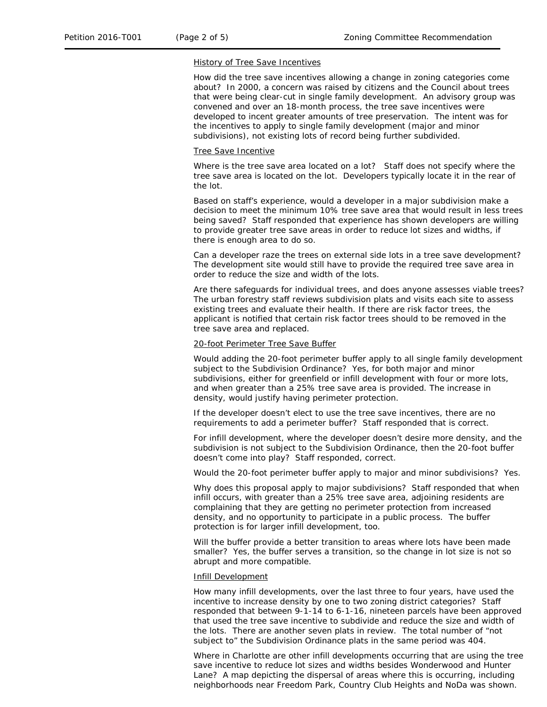#### History of Tree Save Incentives

How did the tree save incentives allowing a change in zoning categories come about? In 2000, a concern was raised by citizens and the Council about trees that were being clear-cut in single family development. An advisory group was convened and over an 18-month process, the tree save incentives were developed to incent greater amounts of tree preservation. The intent was for the incentives to apply to single family development (major and minor subdivisions), not existing lots of record being further subdivided.

#### Tree Save Incentive

Where is the tree save area located on a lot? Staff does not specify where the tree save area is located on the lot. Developers typically locate it in the rear of the lot.

Based on staff's experience, would a developer in a major subdivision make a decision to meet the minimum 10% tree save area that would result in less trees being saved? Staff responded that experience has shown developers are willing to provide greater tree save areas in order to reduce lot sizes and widths, if there is enough area to do so.

Can a developer raze the trees on external side lots in a tree save development? The development site would still have to provide the required tree save area in order to reduce the size and width of the lots.

Are there safeguards for individual trees, and does anyone assesses viable trees? The urban forestry staff reviews subdivision plats and visits each site to assess existing trees and evaluate their health. If there are risk factor trees, the applicant is notified that certain risk factor trees should to be removed in the tree save area and replaced.

### 20-foot Perimeter Tree Save Buffer

Would adding the 20-foot perimeter buffer apply to all single family development subject to the Subdivision Ordinance? Yes, for both major and minor subdivisions, either for greenfield or infill development with four or more lots, and when greater than a 25% tree save area is provided. The increase in density, would justify having perimeter protection.

If the developer doesn't elect to use the tree save incentives, there are no requirements to add a perimeter buffer? Staff responded that is correct.

For infill development, where the developer doesn't desire more density, and the subdivision is not subject to the Subdivision Ordinance, then the 20-foot buffer doesn't come into play? Staff responded, correct.

Would the 20-foot perimeter buffer apply to major and minor subdivisions? Yes.

Why does this proposal apply to major subdivisions? Staff responded that when infill occurs, with greater than a 25% tree save area, adjoining residents are complaining that they are getting no perimeter protection from increased density, and no opportunity to participate in a public process. The buffer protection is for larger infill development, too.

Will the buffer provide a better transition to areas where lots have been made smaller? Yes, the buffer serves a transition, so the change in lot size is not so abrupt and more compatible.

### Infill Development

How many infill developments, over the last three to four years, have used the incentive to increase density by one to two zoning district categories? Staff responded that between 9-1-14 to 6-1-16, nineteen parcels have been approved that used the tree save incentive to subdivide and reduce the size and width of the lots. There are another seven plats in review. The total number of "not subject to" the Subdivision Ordinance plats in the same period was 404.

Where in Charlotte are other infill developments occurring that are using the tree save incentive to reduce lot sizes and widths besides Wonderwood and Hunter Lane? A map depicting the dispersal of areas where this is occurring, including neighborhoods near Freedom Park, Country Club Heights and NoDa was shown.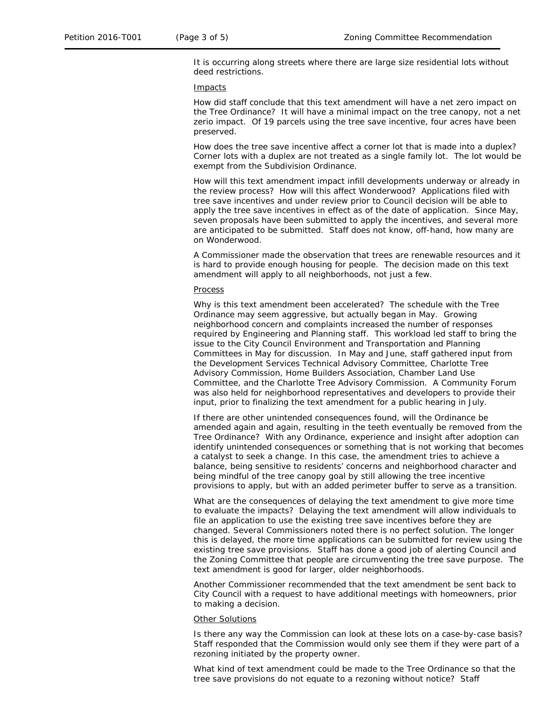It is occurring along streets where there are large size residential lots without deed restrictions.

### Impacts

How did staff conclude that this text amendment will have a net zero impact on the Tree Ordinance? It will have a minimal impact on the tree canopy, not a net zerio impact. Of 19 parcels using the tree save incentive, four acres have been preserved.

How does the tree save incentive affect a corner lot that is made into a duplex? Corner lots with a duplex are not treated as a single family lot. The lot would be exempt from the Subdivision Ordinance.

How will this text amendment impact infill developments underway or already in the review process? How will this affect Wonderwood? Applications filed with tree save incentives and under review prior to Council decision will be able to apply the tree save incentives in effect as of the date of application. Since May, seven proposals have been submitted to apply the incentives, and several more are anticipated to be submitted. Staff does not know, off-hand, how many are on Wonderwood.

A Commissioner made the observation that trees are renewable resources and it is hard to provide enough housing for people. The decision made on this text amendment will apply to all neighborhoods, not just a few.

#### Process

Why is this text amendment been accelerated? The schedule with the Tree Ordinance may seem aggressive, but actually began in May. Growing neighborhood concern and complaints increased the number of responses required by Engineering and Planning staff. This workload led staff to bring the issue to the City Council Environment and Transportation and Planning Committees in May for discussion. In May and June, staff gathered input from the Development Services Technical Advisory Committee, Charlotte Tree Advisory Commission, Home Builders Association, Chamber Land Use Committee, and the Charlotte Tree Advisory Commission. A Community Forum was also held for neighborhood representatives and developers to provide their input, prior to finalizing the text amendment for a public hearing in July.

If there are other unintended consequences found, will the Ordinance be amended again and again, resulting in the teeth eventually be removed from the Tree Ordinance? With any Ordinance, experience and insight after adoption can identify unintended consequences or something that is not working that becomes a catalyst to seek a change. In this case, the amendment tries to achieve a balance, being sensitive to residents' concerns and neighborhood character and being mindful of the tree canopy goal by still allowing the tree incentive provisions to apply, but with an added perimeter buffer to serve as a transition.

What are the consequences of delaying the text amendment to give more time to evaluate the impacts? Delaying the text amendment will allow individuals to file an application to use the existing tree save incentives before they are changed. Several Commissioners noted there is no perfect solution. The longer this is delayed, the more time applications can be submitted for review using the existing tree save provisions. Staff has done a good job of alerting Council and the Zoning Committee that people are circumventing the tree save purpose. The text amendment is good for larger, older neighborhoods.

Another Commissioner recommended that the text amendment be sent back to City Council with a request to have additional meetings with homeowners, prior to making a decision.

#### **Other Solutions**

Is there any way the Commission can look at these lots on a case-by-case basis? Staff responded that the Commission would only see them if they were part of a rezoning initiated by the property owner.

What kind of text amendment could be made to the Tree Ordinance so that the tree save provisions do not equate to a rezoning without notice? Staff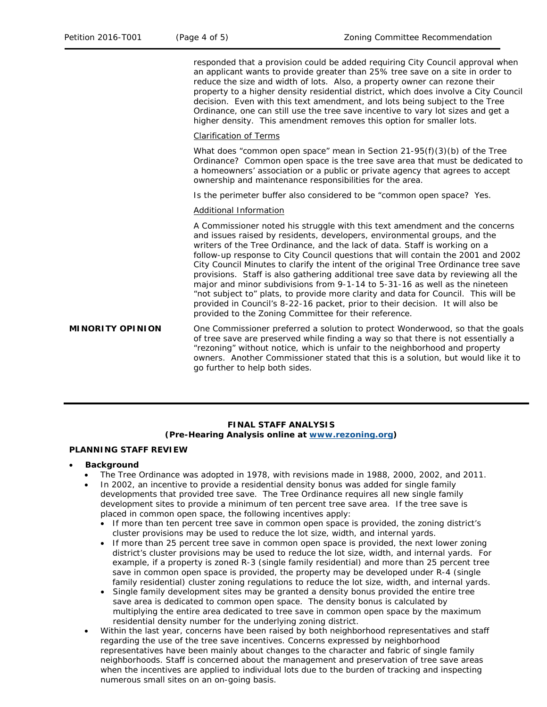responded that a provision could be added requiring City Council approval when an applicant wants to provide greater than 25% tree save on a site in order to reduce the size and width of lots. Also, a property owner can rezone their property to a higher density residential district, which does involve a City Council decision. Even with this text amendment, and lots being subject to the Tree Ordinance, one can still use the tree save incentive to vary lot sizes and get a higher density. This amendment removes this option for smaller lots.

#### Clarification of Terms

What does "common open space" mean in Section 21-95(f)(3)(b) of the Tree Ordinance? Common open space is the tree save area that must be dedicated to a homeowners' association or a public or private agency that agrees to accept ownership and maintenance responsibilities for the area.

Is the perimeter buffer also considered to be "common open space? Yes.

### Additional Information

A Commissioner noted his struggle with this text amendment and the concerns and issues raised by residents, developers, environmental groups, and the writers of the Tree Ordinance, and the lack of data. Staff is working on a follow-up response to City Council questions that will contain the 2001 and 2002 City Council Minutes to clarify the intent of the original Tree Ordinance tree save provisions. Staff is also gathering additional tree save data by reviewing all the major and minor subdivisions from 9-1-14 to 5-31-16 as well as the nineteen "not subject to" plats, to provide more clarity and data for Council. This will be provided in Council's 8-22-16 packet, prior to their decision. It will also be provided to the Zoning Committee for their reference.

**MINORITY OPINION** One Commissioner preferred a solution to protect Wonderwood, so that the goals of tree save are preserved while finding a way so that there is not essentially a "rezoning" without notice, which is unfair to the neighborhood and property owners. Another Commissioner stated that this is a solution, but would like it to go further to help both sides.

# **FINAL STAFF ANALYSIS (Pre-Hearing Analysis online at [www.rezoning.org\)](http://www.rezoning.org/)**

### **PLANNING STAFF REVIEW**

#### • **Background**

- The Tree Ordinance was adopted in 1978, with revisions made in 1988, 2000, 2002, and 2011.
- In 2002, an incentive to provide a residential density bonus was added for single family developments that provided tree save. The Tree Ordinance requires all new single family development sites to provide a minimum of ten percent tree save area. If the tree save is placed in common open space, the following incentives apply:
	- If more than ten percent tree save in common open space is provided, the zoning district's cluster provisions may be used to reduce the lot size, width, and internal yards.
	- If more than 25 percent tree save in common open space is provided, the next lower zoning district's cluster provisions may be used to reduce the lot size, width, and internal yards. For example, if a property is zoned R-3 (single family residential) and more than 25 percent tree save in common open space is provided, the property may be developed under R-4 (single family residential) cluster zoning regulations to reduce the lot size, width, and internal yards.
	- Single family development sites may be granted a density bonus provided the entire tree save area is dedicated to common open space. The density bonus is calculated by multiplying the entire area dedicated to tree save in common open space by the maximum residential density number for the underlying zoning district.
- Within the last year, concerns have been raised by both neighborhood representatives and staff regarding the use of the tree save incentives. Concerns expressed by neighborhood representatives have been mainly about changes to the character and fabric of single family neighborhoods. Staff is concerned about the management and preservation of tree save areas when the incentives are applied to individual lots due to the burden of tracking and inspecting numerous small sites on an on-going basis.